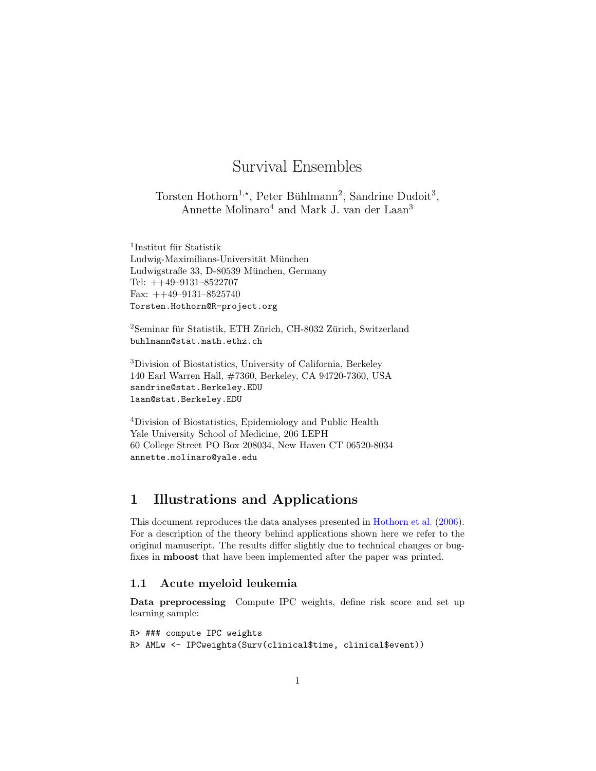## Survival Ensembles

Torsten Hothorn<sup>1,\*</sup>, Peter Bühlmann<sup>2</sup>, Sandrine Dudoit<sup>3</sup>, Annette Molinaro<sup>4</sup> and Mark J. van der Laan<sup>3</sup>

 $1$ Institut für Statistik Ludwig-Maximilians-Universität München Ludwigstraße 33, D-80539 München, Germany Tel: ++49–9131–8522707 Fax: ++49–9131–8525740 Torsten.Hothorn@R-project.org

 $2$ Seminar für Statistik, ETH Zürich, CH-8032 Zürich, Switzerland buhlmann@stat.math.ethz.ch

<sup>3</sup>Division of Biostatistics, University of California, Berkeley 140 Earl Warren Hall, #7360, Berkeley, CA 94720-7360, USA sandrine@stat.Berkeley.EDU laan@stat.Berkeley.EDU

<sup>4</sup>Division of Biostatistics, Epidemiology and Public Health Yale University School of Medicine, 206 LEPH 60 College Street PO Box 208034, New Haven CT 06520-8034 annette.molinaro@yale.edu

### 1 Illustrations and Applications

This document reproduces the data analyses presented in [Hothorn et al.](#page-11-0) [\(2006\)](#page-11-0). For a description of the theory behind applications shown here we refer to the original manuscript. The results differ slightly due to technical changes or bugfixes in mboost that have been implemented after the paper was printed.

#### 1.1 Acute myeloid leukemia

Data preprocessing Compute IPC weights, define risk score and set up learning sample:

```
R> ### compute IPC weights
R> AMLw <- IPCweights(Surv(clinical$time, clinical$event))
```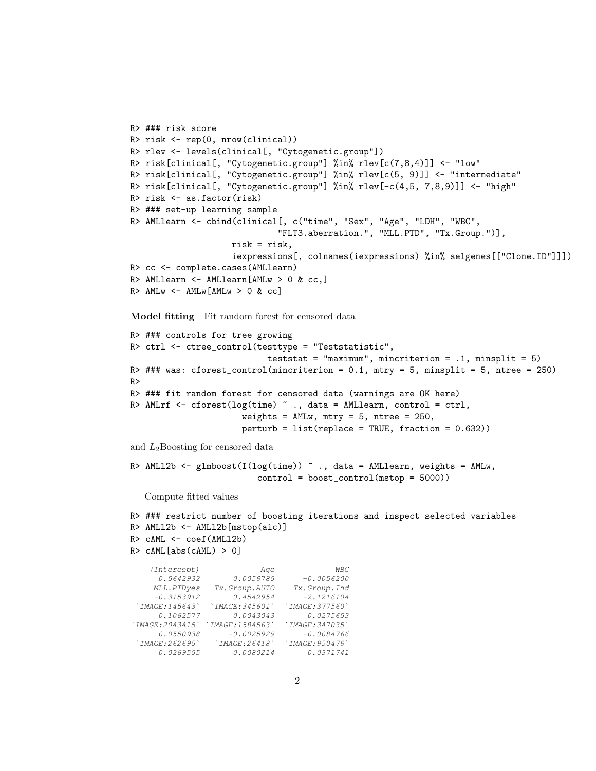```
R> ### risk score
R> risk <- rep(0, nrow(clinical))
R> rlev <- levels(clinical[, "Cytogenetic.group"])
R> risk[clinical[, "Cytogenetic.group"] %in% rlev[c(7,8,4)]] <- "low"
R> risk[clinical[, "Cytogenetic.group"] %in% rlev[c(5, 9)]] <- "intermediate"
R> risk[clinical[, "Cytogenetic.group"] %in% rlev[-c(4,5, 7,8,9)]] <- "high"
R> risk <- as.factor(risk)
R> ### set-up learning sample
R> AMLlearn <- cbind(clinical[, c("time", "Sex", "Age", "LDH", "WBC",
                             "FLT3.aberration.", "MLL.PTD", "Tx.Group.")],
                    risk = risk,
                    iexpressions[, colnames(iexpressions) %in% selgenes[["Clone.ID"]]])
R> cc <- complete.cases(AMLlearn)
R> AMLlearn \leq AMLlearn [AMLw > 0 & cc,]
R > AMLw < - AMLw[AMLw > 0 & cc]Model fitting Fit random forest for censored data
R> ### controls for tree growing
R> ctrl <- ctree_control(testtype = "Teststatistic",
                           teststat = "maximum", mincriterion = .1, minsplit = 5)
R> ### was: cforest_control(mincriterion = 0.1, mtry = 5, minsplit = 5, ntree = 250)
RR> ### fit random forest for censored data (warnings are OK here)
R> AMLrf <- cforest(log(time) \tilde{ } ., data = AMLlearn, control = ctrl,
                      weights = AMLw, mtry = 5, ntree = 250,
                      perturb = list(replace = TRUE, fraction = 0.632))
and L_2Boosting for censored data
R> AML12b <- glmboost(I(log(time)) \tilde{ } ., data = AMLlearn, weights = AMLw,
                         control = boost_countcol(mstop = 5000))Compute fitted values
R> ### restrict number of boosting iterations and inspect selected variables
R> AMLl2b <- AMLl2b[mstop(aic)]
R> cAML <- coef(AMLl2b)
R> cAML[abs(cAML) > 0]
   (Intercept) Age 0.5642932 0.0059785 -0.00562000.5642932 0.0059785MLL.PTDyes Tx.Group.AUTO Tx.Group.Ind
    -0.3153912 0.4542954 -2.1216104`IMAGE:145643` `IMAGE:345601` `IMAGE:377560`
     0.1062577 0.0043043 0.0275653
`IMAGE:2043415` `IMAGE:1584563` `IMAGE:347035`
     0.0550938 -0.0025929 -0.0084766`IMAGE:262695` `IMAGE:26418` `IMAGE:950479`
     0.0269555 0.0080214 0.0371741
```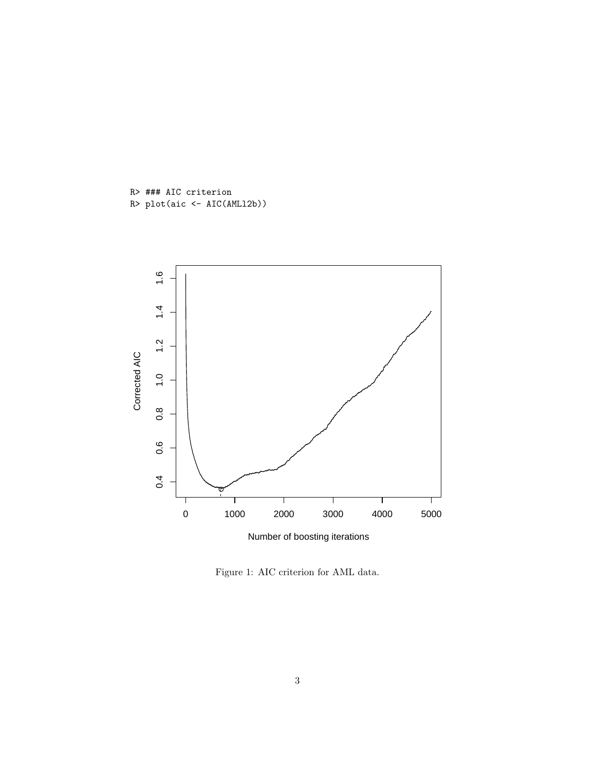R> ### AIC criterion R> plot(aic <- AIC(AMLl2b))



Figure 1: AIC criterion for AML data.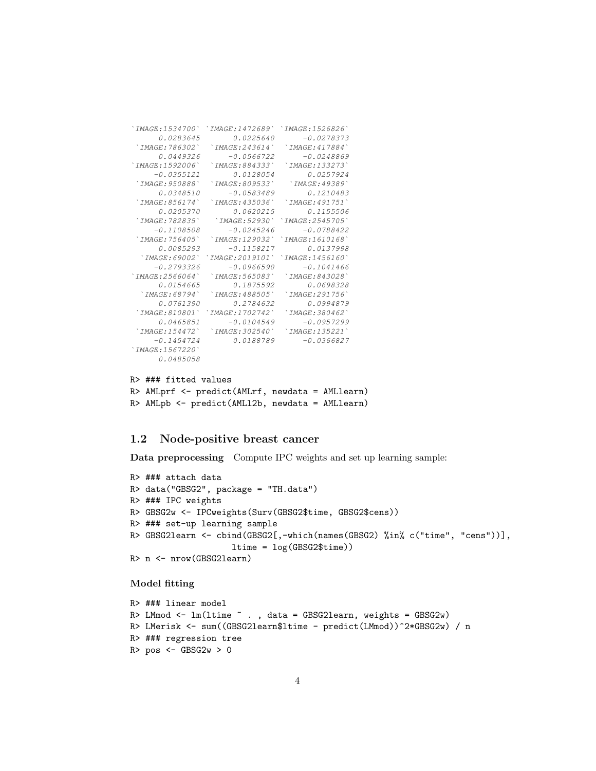```
`IMAGE:1534700` `IMAGE:1472689` `IMAGE:1526826`
     0.0283645 0.0225640 -0.0278373
`IMAGE:786302` `IMAGE:243614` `IMAGE:417884`
     0.0449326 -0.0566722 -0.0248869`IMAGE:1592006` `IMAGE:884333` `IMAGE:133273`
    -0.0355121 0.0128054 0.0257924
`IMAGE:950888` `IMAGE:809533` `IMAGE:49389`
    0.0348510 -0.0583489 0.1210483
`IMAGE:856174` `IMAGE:435036` `IMAGE:491751`
     0.0205370 0.0620215 0.1155506
`IMAGE:782835` `IMAGE:52930` `IMAGE:2545705`
    -0.1108508 -0.0245246 -0.0788422`IMAGE:756405` `IMAGE:129032` `IMAGE:1610168`
    0.0085293 -0.1158217 0.0137998
 `IMAGE:69002` `IMAGE:2019101` `IMAGE:1456160`
    -0.2793326 -0.0966590 -0.1041466`IMAGE:2566064` `IMAGE:565083` `IMAGE:843028`
                0.1875592 0.0698328
 `IMAGE:68794` `IMAGE:488505` `IMAGE:291756`
     0.0761390 0.2784632 0.0994879
`IMAGE:810801` `IMAGE:1702742` `IMAGE:380462`
    0.0465851 -0.0104549`IMAGE:154472` `IMAGE:302540` `IMAGE:135221`
   -0.1454724 0.0188789 -0.0366827`IMAGE:1567220`
    0.0485058
```

```
R> ### fitted values
```
R> AMLprf <- predict(AMLrf, newdata = AMLlearn) R> AMLpb <- predict(AMLl2b, newdata = AMLlearn)

#### 1.2 Node-positive breast cancer

Data preprocessing Compute IPC weights and set up learning sample:

```
R> ### attach data
R> data("GBSG2", package = "TH.data")
R> ### IPC weights
R> GBSG2w <- IPCweights(Surv(GBSG2$time, GBSG2$cens))
R> ### set-up learning sample
R> GBSG2learn <- cbind(GBSG2[,-which(names(GBSG2) %in% c("time", "cens"))],
                    ltime = log(GBSG2$time))
R> n <- nrow(GBSG2learn)
```
Model fitting

```
R> ### linear model
R> LMmod <- lm(ltime ~ . , data = GBSG2learn, weights = GBSG2w)
R> LMerisk <- sum((GBSG2learn$ltime - predict(LMmod))^2*GBSG2w) / n
R> ### regression tree
R> pos \leq GBSG2w > 0
```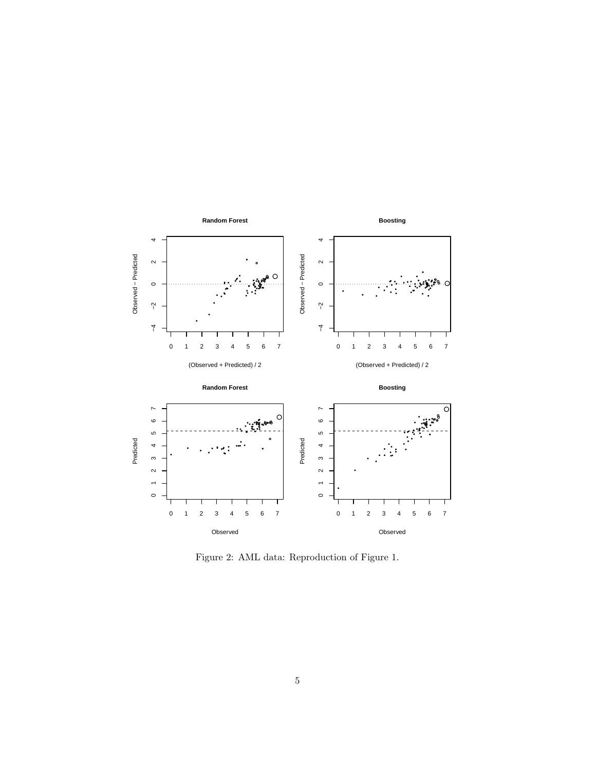

Figure 2: AML data: Reproduction of Figure 1.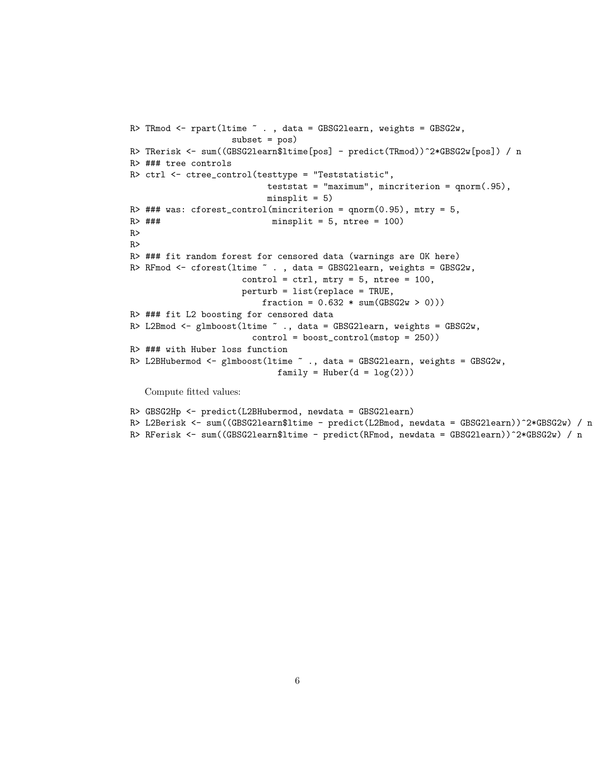```
R> TRmod <- rpart(ltime \tilde{ } ., data = GBSG21earn, weights = GBSG2w,
                    subset = pos)
R> TRerisk <- sum((GBSG2learn$ltime[pos] - predict(TRmod))^2*GBSG2w[pos]) / n
R> ### tree controls
R> ctrl <- ctree_control(testtype = "Teststatistic",
                           teststat = "maximum", mincriterion = qnorm(.95),
                           minsplit = 5)R> ### was: cforest_control(mincriterion = qnorm(0.95), mtry = 5,
R> ### minsplit = 5, ntree = 100)
RRR> ### fit random forest for censored data (warnings are OK here)
R> RFmod <- cforest(ltime \tilde{ } ., data = GBSG2learn, weights = GBSG2w,
                     control = \text{ctrl}, mtry = 5, ntree = 100,perturb = list(replace = TRUE,
                          fraction = 0.632 * sum(GBSG2w > 0))R> ### fit L2 boosting for censored data
R> L2Bmod <- glmboost(ltime ~ ., data = GBSG2learn, weights = GBSG2w,
                        control = boost_control(mstop = 250))
R> ### with Huber loss function
R> L2BHubermod <- glmboost(ltime ~ ., data = GBSG2learn, weights = GBSG2w,
                             family = Huber(d = log(2))Compute fitted values:
```

```
R> GBSG2Hp <- predict(L2BHubermod, newdata = GBSG2learn)
R> L2Berisk <- sum((GBSG2learn$ltime - predict(L2Bmod, newdata = GBSG2learn))^2*GBSG2w) / n
R> RFerisk <- sum((GBSG2learn$ltime - predict(RFmod, newdata = GBSG2learn))^2*GBSG2w) / n
```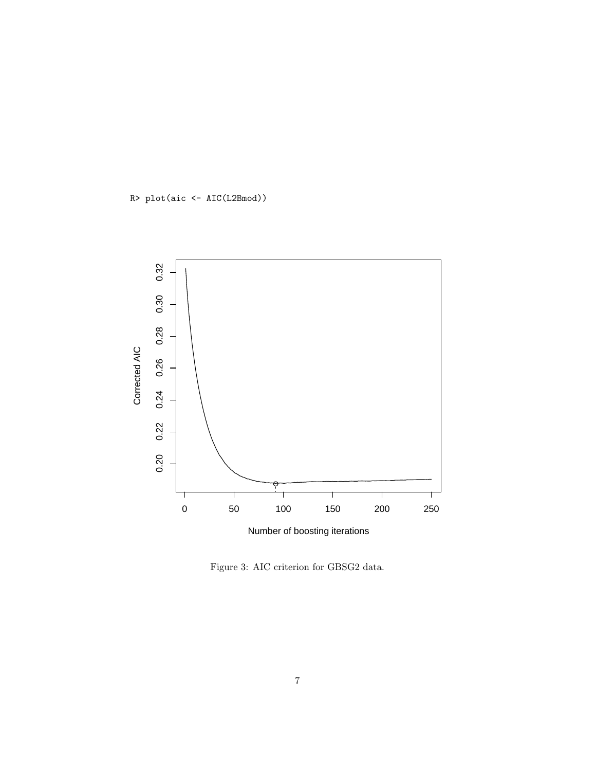R> plot(aic <- AIC(L2Bmod))



Figure 3: AIC criterion for GBSG2 data.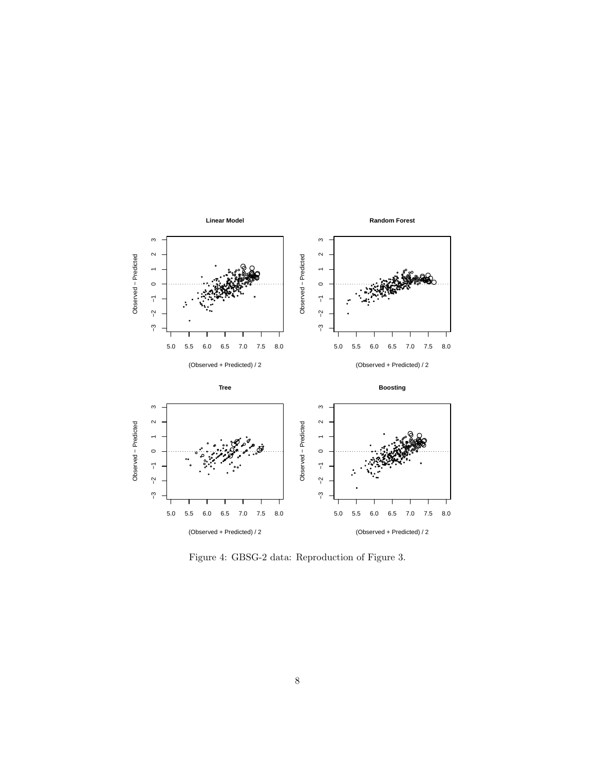

Figure 4: GBSG-2 data: Reproduction of Figure 3.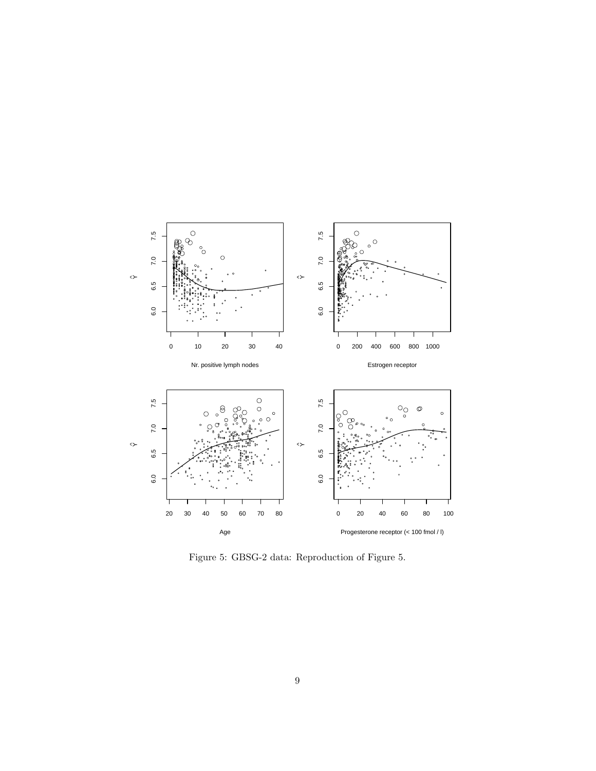

Figure 5: GBSG-2 data: Reproduction of Figure 5.  $\,$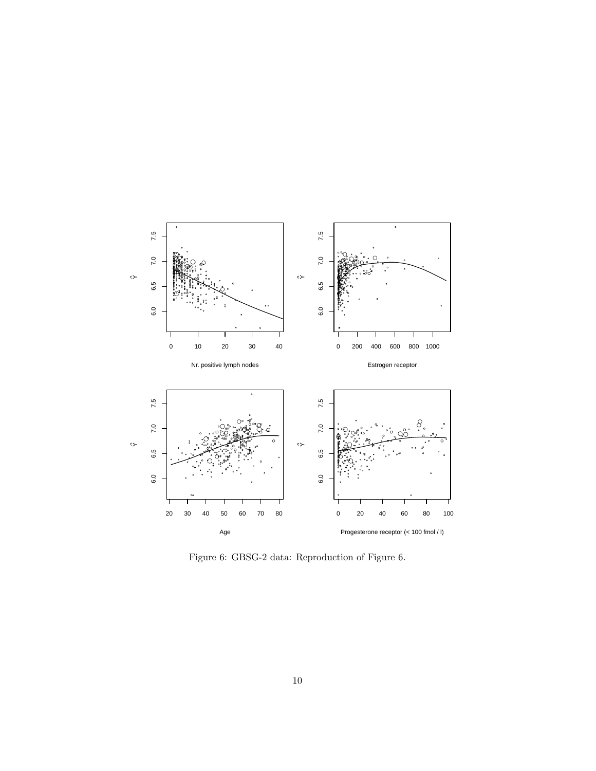

Figure 6: GBSG-2 data: Reproduction of Figure 6.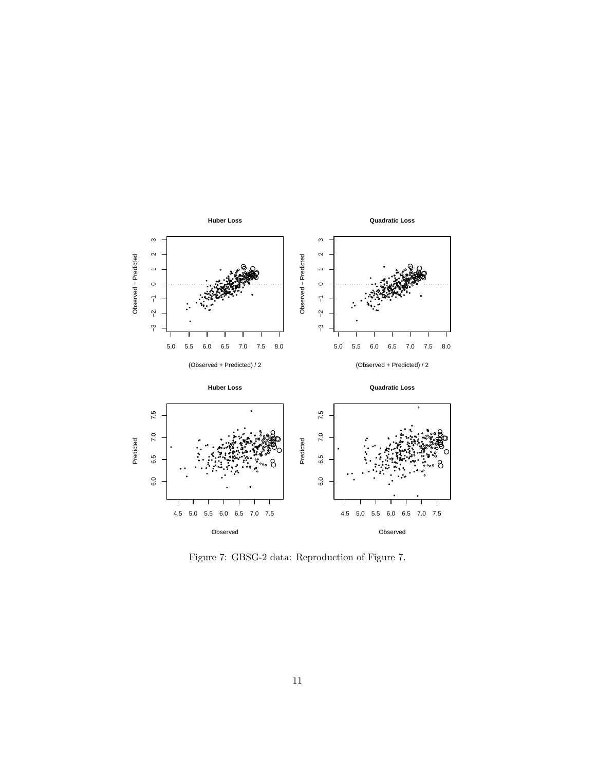

Figure 7: GBSG-2 data: Reproduction of Figure 7.  $\,$